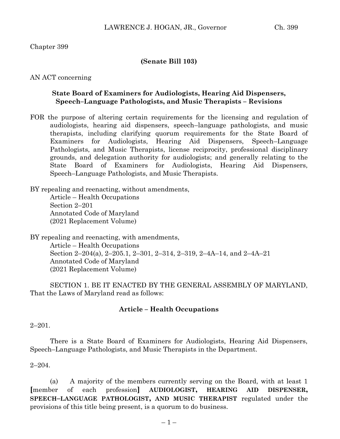# Chapter 399

## **(Senate Bill 103)**

#### AN ACT concerning

## **State Board of Examiners for Audiologists, Hearing Aid Dispensers, Speech–Language Pathologists, and Music Therapists – Revisions**

FOR the purpose of altering certain requirements for the licensing and regulation of audiologists, hearing aid dispensers, speech–language pathologists, and music therapists, including clarifying quorum requirements for the State Board of Examiners for Audiologists, Hearing Aid Dispensers, Speech–Language Pathologists, and Music Therapists, license reciprocity, professional disciplinary grounds, and delegation authority for audiologists; and generally relating to the State Board of Examiners for Audiologists, Hearing Aid Dispensers, Speech–Language Pathologists, and Music Therapists.

BY repealing and reenacting, without amendments, Article – Health Occupations Section 2–201 Annotated Code of Maryland (2021 Replacement Volume)

BY repealing and reenacting, with amendments, Article – Health Occupations Section 2–204(a), 2–205.1, 2–301, 2–314, 2–319, 2–4A–14, and 2–4A–21 Annotated Code of Maryland (2021 Replacement Volume)

SECTION 1. BE IT ENACTED BY THE GENERAL ASSEMBLY OF MARYLAND, That the Laws of Maryland read as follows:

## **Article – Health Occupations**

#### $2 - 201.$

There is a State Board of Examiners for Audiologists, Hearing Aid Dispensers, Speech–Language Pathologists, and Music Therapists in the Department.

#### $2 - 204.$

(a) A majority of the members currently serving on the Board, with at least 1 **[**member of each profession**] AUDIOLOGIST, HEARING AID DISPENSER, SPEECH–LANGUAGE PATHOLOGIST, AND MUSIC THERAPIST** regulated under the provisions of this title being present, is a quorum to do business.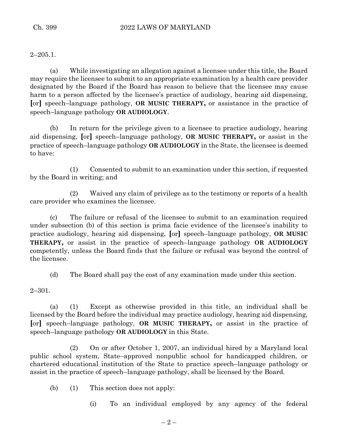$2 - 205.1$ .

(a) While investigating an allegation against a licensee under this title, the Board may require the licensee to submit to an appropriate examination by a health care provider designated by the Board if the Board has reason to believe that the licensee may cause harm to a person affected by the licensee's practice of audiology, hearing aid dispensing, **[**or**]** speech–language pathology, **OR MUSIC THERAPY,** or assistance in the practice of speech–language pathology **OR AUDIOLOGY**.

(b) In return for the privilege given to a licensee to practice audiology, hearing aid dispensing, **[**or**]** speech–language pathology, **OR MUSIC THERAPY,** or assist in the practice of speech–language pathology **OR AUDIOLOGY** in the State, the licensee is deemed to have:

(1) Consented to submit to an examination under this section, if requested by the Board in writing; and

(2) Waived any claim of privilege as to the testimony or reports of a health care provider who examines the licensee.

(c) The failure or refusal of the licensee to submit to an examination required under subsection (b) of this section is prima facie evidence of the licensee's inability to practice audiology, hearing aid dispensing, **[**or**]** speech–language pathology, **OR MUSIC THERAPY,** or assist in the practice of speech–language pathology **OR AUDIOLOGY**  competently, unless the Board finds that the failure or refusal was beyond the control of the licensee.

(d) The Board shall pay the cost of any examination made under this section.

2–301.

(a) (1) Except as otherwise provided in this title, an individual shall be licensed by the Board before the individual may practice audiology, hearing aid dispensing, **[**or**]** speech–language pathology, **OR MUSIC THERAPY,** or assist in the practice of speech–language pathology **OR AUDIOLOGY** in this State.

(2) On or after October 1, 2007, an individual hired by a Maryland local public school system, State–approved nonpublic school for handicapped children, or chartered educational institution of the State to practice speech–language pathology or assist in the practice of speech–language pathology, shall be licensed by the Board.

(b) (1) This section does not apply:

(i) To an individual employed by any agency of the federal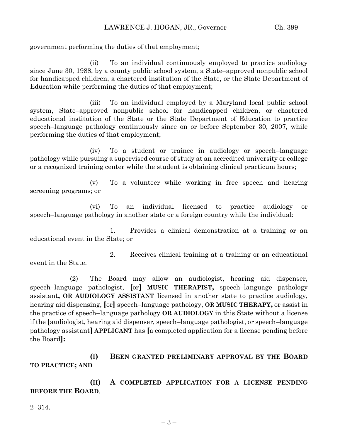government performing the duties of that employment;

(ii) To an individual continuously employed to practice audiology since June 30, 1988, by a county public school system, a State–approved nonpublic school for handicapped children, a chartered institution of the State, or the State Department of Education while performing the duties of that employment;

(iii) To an individual employed by a Maryland local public school system, State–approved nonpublic school for handicapped children, or chartered educational institution of the State or the State Department of Education to practice speech–language pathology continuously since on or before September 30, 2007, while performing the duties of that employment;

(iv) To a student or trainee in audiology or speech–language pathology while pursuing a supervised course of study at an accredited university or college or a recognized training center while the student is obtaining clinical practicum hours;

(v) To a volunteer while working in free speech and hearing screening programs; or

(vi) To an individual licensed to practice audiology or speech–language pathology in another state or a foreign country while the individual:

1. Provides a clinical demonstration at a training or an educational event in the State; or

2. Receives clinical training at a training or an educational event in the State.

(2) The Board may allow an audiologist, hearing aid dispenser, speech–language pathologist, **[**or**] MUSIC THERAPIST,** speech–language pathology assistant**, OR AUDIOLOGY ASSISTANT** licensed in another state to practice audiology, hearing aid dispensing, **[**or**]** speech–language pathology, **OR MUSIC THERAPY,** or assist in the practice of speech–language pathology **OR AUDIOLOGY** in this State without a license if the **[**audiologist, hearing aid dispenser, speech–language pathologist, or speech–language pathology assistant**] APPLICANT** has **[**a completed application for a license pending before the Board**]:**

**(I) BEEN GRANTED PRELIMINARY APPROVAL BY THE BOARD TO PRACTICE; AND**

**(II) A COMPLETED APPLICATION FOR A LICENSE PENDING BEFORE THE BOARD**.

2–314.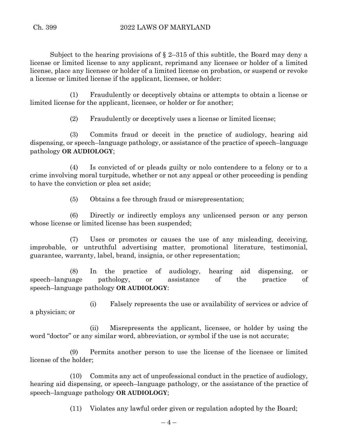Subject to the hearing provisions of  $\S$  2–315 of this subtitle, the Board may deny a license or limited license to any applicant, reprimand any licensee or holder of a limited license, place any licensee or holder of a limited license on probation, or suspend or revoke a license or limited license if the applicant, licensee, or holder:

(1) Fraudulently or deceptively obtains or attempts to obtain a license or limited license for the applicant, licensee, or holder or for another;

(2) Fraudulently or deceptively uses a license or limited license;

(3) Commits fraud or deceit in the practice of audiology, hearing aid dispensing, or speech–language pathology, or assistance of the practice of speech–language pathology **OR AUDIOLOGY**;

(4) Is convicted of or pleads guilty or nolo contendere to a felony or to a crime involving moral turpitude, whether or not any appeal or other proceeding is pending to have the conviction or plea set aside;

(5) Obtains a fee through fraud or misrepresentation;

(6) Directly or indirectly employs any unlicensed person or any person whose license or limited license has been suspended;

(7) Uses or promotes or causes the use of any misleading, deceiving, improbable, or untruthful advertising matter, promotional literature, testimonial, guarantee, warranty, label, brand, insignia, or other representation;

(8) In the practice of audiology, hearing aid dispensing, or speech–language pathology, or assistance of the practice of speech–language pathology **OR AUDIOLOGY**:

(i) Falsely represents the use or availability of services or advice of a physician; or

(ii) Misrepresents the applicant, licensee, or holder by using the word "doctor" or any similar word, abbreviation, or symbol if the use is not accurate;

(9) Permits another person to use the license of the licensee or limited license of the holder;

(10) Commits any act of unprofessional conduct in the practice of audiology, hearing aid dispensing, or speech–language pathology, or the assistance of the practice of speech–language pathology **OR AUDIOLOGY**;

(11) Violates any lawful order given or regulation adopted by the Board;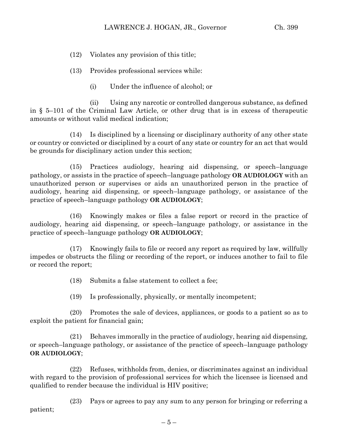- (12) Violates any provision of this title;
- (13) Provides professional services while:
	- (i) Under the influence of alcohol; or

(ii) Using any narcotic or controlled dangerous substance, as defined in § 5–101 of the Criminal Law Article, or other drug that is in excess of therapeutic amounts or without valid medical indication;

(14) Is disciplined by a licensing or disciplinary authority of any other state or country or convicted or disciplined by a court of any state or country for an act that would be grounds for disciplinary action under this section;

(15) Practices audiology, hearing aid dispensing, or speech–language pathology, or assists in the practice of speech–language pathology **OR AUDIOLOGY** with an unauthorized person or supervises or aids an unauthorized person in the practice of audiology, hearing aid dispensing, or speech–language pathology, or assistance of the practice of speech–language pathology **OR AUDIOLOGY**;

(16) Knowingly makes or files a false report or record in the practice of audiology, hearing aid dispensing, or speech–language pathology, or assistance in the practice of speech–language pathology **OR AUDIOLOGY**;

(17) Knowingly fails to file or record any report as required by law, willfully impedes or obstructs the filing or recording of the report, or induces another to fail to file or record the report;

(18) Submits a false statement to collect a fee;

(19) Is professionally, physically, or mentally incompetent;

(20) Promotes the sale of devices, appliances, or goods to a patient so as to exploit the patient for financial gain;

(21) Behaves immorally in the practice of audiology, hearing aid dispensing, or speech–language pathology, or assistance of the practice of speech–language pathology **OR AUDIOLOGY**;

(22) Refuses, withholds from, denies, or discriminates against an individual with regard to the provision of professional services for which the licensee is licensed and qualified to render because the individual is HIV positive;

(23) Pays or agrees to pay any sum to any person for bringing or referring a patient;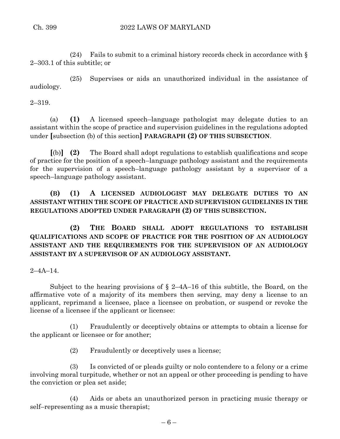(24) Fails to submit to a criminal history records check in accordance with  $\S$ 2–303.1 of this subtitle; or

(25) Supervises or aids an unauthorized individual in the assistance of audiology.

2–319.

(a) **(1)** A licensed speech–language pathologist may delegate duties to an assistant within the scope of practice and supervision guidelines in the regulations adopted under **[**subsection (b) of this section**] PARAGRAPH (2) OF THIS SUBSECTION**.

**[**(b)**] (2)** The Board shall adopt regulations to establish qualifications and scope of practice for the position of a speech–language pathology assistant and the requirements for the supervision of a speech–language pathology assistant by a supervisor of a speech–language pathology assistant.

**(B) (1) A LICENSED AUDIOLOGIST MAY DELEGATE DUTIES TO AN ASSISTANT WITHIN THE SCOPE OF PRACTICE AND SUPERVISION GUIDELINES IN THE REGULATIONS ADOPTED UNDER PARAGRAPH (2) OF THIS SUBSECTION.**

**(2) THE BOARD SHALL ADOPT REGULATIONS TO ESTABLISH QUALIFICATIONS AND SCOPE OF PRACTICE FOR THE POSITION OF AN AUDIOLOGY ASSISTANT AND THE REQUIREMENTS FOR THE SUPERVISION OF AN AUDIOLOGY ASSISTANT BY A SUPERVISOR OF AN AUDIOLOGY ASSISTANT.**

 $2 - 4A - 14$ .

Subject to the hearing provisions of  $\S$  2–4A–16 of this subtitle, the Board, on the affirmative vote of a majority of its members then serving, may deny a license to an applicant, reprimand a licensee, place a licensee on probation, or suspend or revoke the license of a licensee if the applicant or licensee:

(1) Fraudulently or deceptively obtains or attempts to obtain a license for the applicant or licensee or for another;

(2) Fraudulently or deceptively uses a license;

(3) Is convicted of or pleads guilty or nolo contendere to a felony or a crime involving moral turpitude, whether or not an appeal or other proceeding is pending to have the conviction or plea set aside;

(4) Aids or abets an unauthorized person in practicing music therapy or self–representing as a music therapist;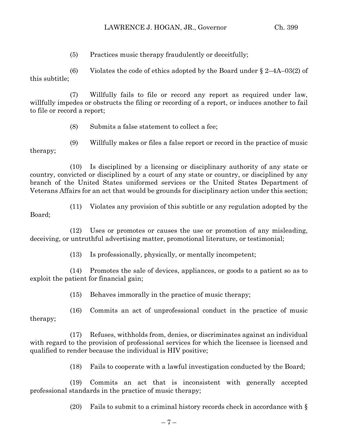(5) Practices music therapy fraudulently or deceitfully;

(6) Violates the code of ethics adopted by the Board under  $\S 2-4A-03(2)$  of this subtitle;

(7) Willfully fails to file or record any report as required under law, willfully impedes or obstructs the filing or recording of a report, or induces another to fail to file or record a report;

(8) Submits a false statement to collect a fee;

(9) Willfully makes or files a false report or record in the practice of music therapy;

(10) Is disciplined by a licensing or disciplinary authority of any state or country, convicted or disciplined by a court of any state or country, or disciplined by any branch of the United States uniformed services or the United States Department of Veterans Affairs for an act that would be grounds for disciplinary action under this section;

(11) Violates any provision of this subtitle or any regulation adopted by the Board;

(12) Uses or promotes or causes the use or promotion of any misleading, deceiving, or untruthful advertising matter, promotional literature, or testimonial;

(13) Is professionally, physically, or mentally incompetent;

(14) Promotes the sale of devices, appliances, or goods to a patient so as to exploit the patient for financial gain;

(15) Behaves immorally in the practice of music therapy;

(16) Commits an act of unprofessional conduct in the practice of music therapy;

(17) Refuses, withholds from, denies, or discriminates against an individual with regard to the provision of professional services for which the licensee is licensed and qualified to render because the individual is HIV positive;

(18) Fails to cooperate with a lawful investigation conducted by the Board;

(19) Commits an act that is inconsistent with generally accepted professional standards in the practice of music therapy;

(20) Fails to submit to a criminal history records check in accordance with §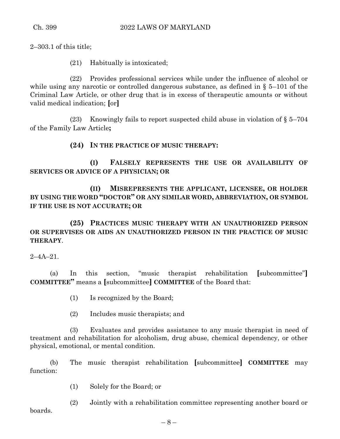2–303.1 of this title;

(21) Habitually is intoxicated;

(22) Provides professional services while under the influence of alcohol or while using any narcotic or controlled dangerous substance, as defined in § 5–101 of the Criminal Law Article, or other drug that is in excess of therapeutic amounts or without valid medical indication; **[**or**]**

(23) Knowingly fails to report suspected child abuse in violation of § 5–704 of the Family Law Article**;**

**(24) IN THE PRACTICE OF MUSIC THERAPY:**

**(I) FALSELY REPRESENTS THE USE OR AVAILABILITY OF SERVICES OR ADVICE OF A PHYSICIAN; OR**

**(II) MISREPRESENTS THE APPLICANT, LICENSEE, OR HOLDER BY USING THE WORD "DOCTOR" OR ANY SIMILAR WORD, ABBREVIATION, OR SYMBOL IF THE USE IS NOT ACCURATE; OR**

**(25) PRACTICES MUSIC THERAPY WITH AN UNAUTHORIZED PERSON OR SUPERVISES OR AIDS AN UNAUTHORIZED PERSON IN THE PRACTICE OF MUSIC THERAPY**.

 $2 - 4A - 21$ .

(a) In this section, "music therapist rehabilitation **[**subcommittee"**] COMMITTEE"** means a **[**subcommittee**] COMMITTEE** of the Board that:

- (1) Is recognized by the Board;
- (2) Includes music therapists; and

(3) Evaluates and provides assistance to any music therapist in need of treatment and rehabilitation for alcoholism, drug abuse, chemical dependency, or other physical, emotional, or mental condition.

(b) The music therapist rehabilitation **[**subcommittee**] COMMITTEE** may function:

(1) Solely for the Board; or

(2) Jointly with a rehabilitation committee representing another board or boards.